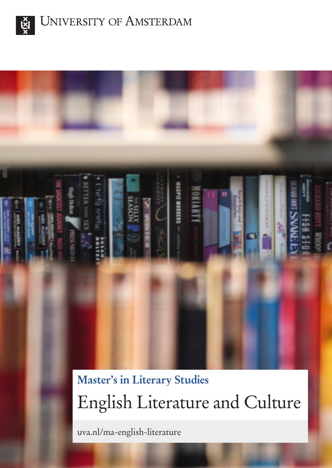



uva.nl/ma-english-literature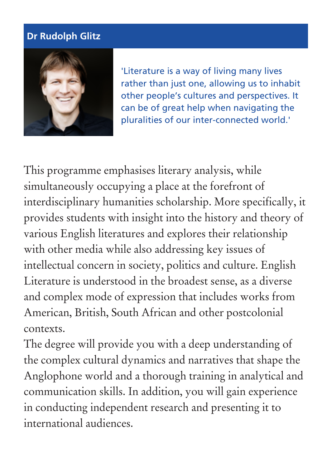### **Dr Rudolph Glitz**



'Literature is a way of living many lives rather than just one, allowing us to inhabit other people's cultures and perspectives. It can be of great help when navigating the pluralities of our inter-connected world.'

This programme emphasises literary analysis, while simultaneously occupying a place at the forefront of interdisciplinary humanities scholarship. More specifically, it provides students with insight into the history and theory of various English literatures and explores their relationship with other media while also addressing key issues of intellectual concern in society, politics and culture. English Literature is understood in the broadest sense, as a diverse and complex mode of expression that includes works from American, British, South African and other postcolonial contexts.

The degree will provide you with a deep understanding of the complex cultural dynamics and narratives that shape the Anglophone world and a thorough training in analytical and communication skills. In addition, you will gain experience in conducting independent research and presenting it to international audiences.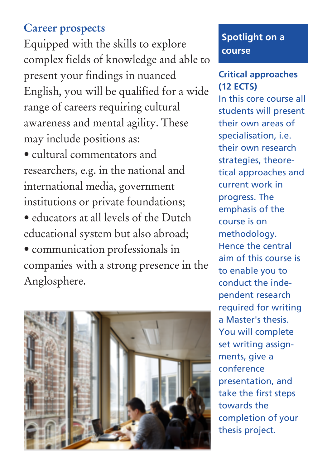# **Career prospects**

Equipped with the skills to explore complex fields of knowledge and able to present your findings in nuanced English, you will be qualified for a wide range of careers requiring cultural awareness and mental agility. These may include positions as:

- cultural commentators and researchers, e.g. in the national and international media, government institutions or private foundations;
- educators at all levels of the Dutch educational system but also abroad;
- communication professionals in companies with a strong presence in the Anglosphere.



## **Spotlight on a course**

#### **Critical approaches (12 ECTS)**

In this core course all students will present their own areas of specialisation, i.e. their own research strategies, theoretical approaches and current work in progress. The emphasis of the course is on methodology. Hence the central aim of this course is to enable you to conduct the independent research required for writing a Master's thesis. You will complete set writing assignments, give a conference presentation, and take the first steps towards the completion of your thesis project.